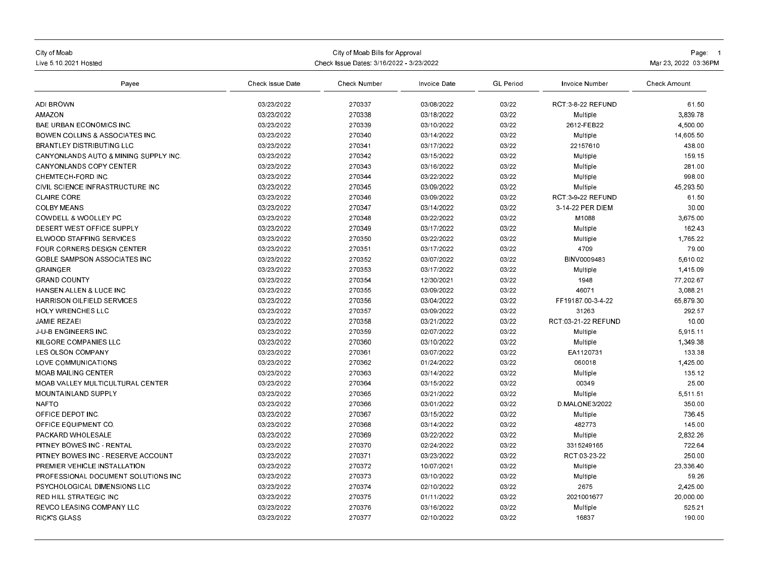| City of Moab<br>Live 5 10 2021 Hosted           | Check Issue Dates: 3/16/2022 - 3/23/2022 | Page: 1<br>Mar 23, 2022 03:36PM |              |                  |                     |                     |
|-------------------------------------------------|------------------------------------------|---------------------------------|--------------|------------------|---------------------|---------------------|
| Payee                                           | Check Issue Date                         | Check Number                    | Invoice Date | <b>GL</b> Period | Invoice Number      | <b>Check Amount</b> |
| <b>ADI BROWN</b>                                | 03/23/2022                               | 270337                          | 03/08/2022   | 03/22            | RCT 3-8-22 REFUND   | 61.50               |
| <b>AMAZON</b>                                   | 03/23/2022                               | 270338                          | 03/18/2022   | 03/22            | Multiple            | 3,839.78            |
| <b>BAE URBAN ECONOMICS INC</b>                  | 03/23/2022                               | 270339                          | 03/10/2022   | 03/22            | 2612-FEB22          | 4.500.00            |
| <b>BOWEN COLLINS &amp; ASSOCIATES INC.</b>      | 03/23/2022                               | 270340                          | 03/14/2022   | 03/22            | Multiple            | 14,605.50           |
| <b>BRANTLEY DISTRIBUTING LLC</b>                | 03/23/2022                               | 270341                          | 03/17/2022   | 03/22            | 22157610            | 438.00              |
| <b>CANYONLANDS AUTO &amp; MINING SUPPLY INC</b> | 03/23/2022                               | 270342                          | 03/15/2022   | 03/22            | Multiple            | 159.15              |
| <b>CANYONLANDS COPY CENTER</b>                  | 03/23/2022                               | 270343                          | 03/16/2022   | 03/22            | Multiple            | 281.00              |
| CHEMTECH-FORD INC.                              | 03/23/2022                               | 270344                          | 03/22/2022   | 03/22            | Multiple            | 998.00              |
| CIVIL SCIENCE INFRASTRUCTURE INC                | 03/23/2022                               | 270345                          | 03/09/2022   | 03/22            | Multiple            | 45 293 50           |
| <b>CLAIRE CORE</b>                              | 03/23/2022                               | 270346                          | 03/09/2022   | 03/22            | RCT 3-9-22 REFUND   | 61.50               |
| <b>COLBY MEANS</b>                              | 03/23/2022                               | 270347                          | 03/14/2022   | 03/22            | 3-14-22 PER DIEM    | 30.00               |
| <b>COWDELL &amp; WOOLLEY PC</b>                 | 03/23/2022                               | 270348                          | 03/22/2022   | 03/22            | M1088               | 3,675.00            |
| <b>DESERT WEST OFFICE SUPPLY</b>                | 03/23/2022                               | 270349                          | 03/17/2022   | 03/22            | Multiple            | 162.43              |
| ELWOOD STAFFING SERVICES                        | 03/23/2022                               | 270350                          | 03/22/2022   | 03/22            | Multiple            | 1,765.22            |
| FOUR CORNERS DESIGN CENTER                      | 03/23/2022                               | 270351                          | 03/17/2022   | 03/22            | 4709                | 79.00               |
| <b>GOBLE SAMPSON ASSOCIATES INC</b>             | 03/23/2022                               | 270352                          | 03/07/2022   | 03/22            | BINV0009483         | 5.610.02            |
| <b>GRAINGER</b>                                 | 03/23/2022                               | 270353                          | 03/17/2022   | 03/22            | Multiple            | 1,415.09            |
| <b>GRAND COUNTY</b>                             | 03/23/2022                               | 270354                          | 12/30/2021   | 03/22            | 1948                | 77,202.67           |
| <b>HANSEN ALLEN &amp; LUCE INC</b>              | 03/23/2022                               | 270355                          | 03/09/2022   | 03/22            | 46071               | 3.088.21            |
| HARRISON OILFIELD SERVICES                      | 03/23/2022                               | 270356                          | 03/04/2022   | 03/22            | FF19187.00-3-4-22   | 65,879.30           |
| <b>HOLY WRENCHES LLC</b>                        | 03/23/2022                               | 270357                          | 03/09/2022   | 03/22            | 31263               | 292.57              |
| <b>JAMIE REZAEI</b>                             | 03/23/2022                               | 270358                          | 03/21/2022   | 03/22            | RCT:03-21-22 REFUND | 10.00               |
| <b>J-U-B ENGINEERS INC</b>                      | 03/23/2022                               | 270359                          | 02/07/2022   | 03/22            | Multiple            | 5,915.11            |
| KILGORE COMPANIES LLC                           | 03/23/2022                               | 270360                          | 03/10/2022   | 03/22            | Multiple            | 1,349.38            |
| <b>LES OLSON COMPANY</b>                        | 03/23/2022                               | 270361                          | 03/07/2022   | 03/22            | EA1120731           | 133.38              |
| LOVE COMMUNICATIONS                             | 03/23/2022                               | 270362                          | 01/24/2022   | 03/22            | 060018              | 1,425.00            |
| <b>MOAB MAILING CENTER</b>                      | 03/23/2022                               | 270363                          | 03/14/2022   | 03/22            | Multiple            | 135.12              |
| MOAB VALLEY MULTICULTURAL CENTER                | 03/23/2022                               | 270364                          | 03/15/2022   | 03/22            | 00349               | 25.00               |
| MOUNTAINLAND SUPPLY                             | 03/23/2022                               | 270365                          | 03/21/2022   | 03/22            | Multiple            | 5,511.51            |
| <b>NAFTO</b>                                    | 03/23/2022                               | 270366                          | 03/01/2022   | 03/22            | D.MALONE3/2022      | 350.00              |
| OFFICE DEPOT INC                                | 03/23/2022                               | 270367                          | 03/15/2022   | 03/22            | Multiple            | 736 45              |
| OFFICE EQUIPMENT CO                             | 03/23/2022                               | 270368                          | 03/14/2022   | 03/22            | 482773              | 145.00              |
| PACKARD WHOLESALE                               | 03/23/2022                               | 270369                          | 03/22/2022   | 03/22            | Multiple            | 2,832.26            |
| PITNEY BOWES INC - RENTAL                       | 03/23/2022                               | 270370                          | 02/24/2022   | 03/22            | 3315249165          | 722.64              |
| PITNEY BOWES INC RESERVE ACCOUNT                | 03/23/2022                               | 270371                          | 03/23/2022   | 03/22            | RCT:03-23-22        | 250.00              |
| PREMIER VEHICLE INSTALLATION                    | 03/23/2022                               | 270372                          | 10/07/2021   | 03/22            | Multiple            | 23,336.40           |
| PROFESSIONAL DOCUMENT SOLUTIONS INC             | 03/23/2022                               | 270373                          | 03/10/2022   | 03/22            | Multiple            | 59.26               |
| PSYCHOLOGICAL DIMENSIONS LLC                    | 03/23/2022                               | 270374                          | 02/10/2022   | 03/22            | 2675                | 2,425.00            |
| RED HILL STRATEGIC INC                          | 03/23/2022                               | 270375                          | 01/11/2022   | 03/22            | 2021001677          | 20,000.00           |
| <b>REVCO LEASING COMPANY LLC</b>                | 03/23/2022                               | 270376                          | 03/16/2022   | 03/22            | Multiple            | 525.21              |
| <b>RICK'S GLASS</b>                             | 03/23/2022                               | 270377                          | 02/10/2022   | 03/22            | 16837               | 190.00              |